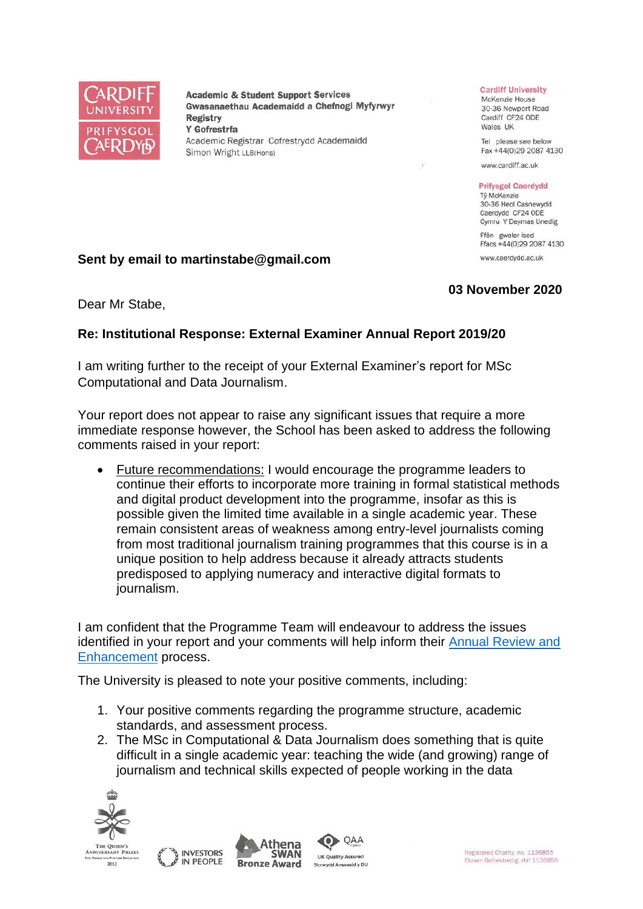

**Academic & Student Support Services** Gwasanaethau Academaidd a Chefnogi Myfyrwyr **Registry** Y Gofrestrfa Academic Registrar Cofrestrydd Academaidd Simon Wright LLB(Hons)

#### **Cardiff University**

McKenzie House 30-36 Newport Road Cardiff CF24 ODE Wales UK

Tel please see below Fax +44(0)29 2087 4130

www.cardiff.ac.uk

#### **Prifysgol Caerdydd**

Tỷ McKenzie 30-36 Heol Casnewydd Caerdydd CF24 ODE Cymru Y Deyrnas Unedig

Ffôn gweler isod Ffacs +44(0)29 2087 4130 www.caerdydd.ac.uk

## **Sent by email to martinstabe@gmail.com**

# **03 November 2020**

Dear Mr Stabe,

## **Re: Institutional Response: External Examiner Annual Report 2019/20**

I am writing further to the receipt of your External Examiner's report for MSc Computational and Data Journalism.

Your report does not appear to raise any significant issues that require a more immediate response however, the School has been asked to address the following comments raised in your report:

• Future recommendations: I would encourage the programme leaders to continue their efforts to incorporate more training in formal statistical methods and digital product development into the programme, insofar as this is possible given the limited time available in a single academic year. These remain consistent areas of weakness among entry-level journalists coming from most traditional journalism training programmes that this course is in a unique position to help address because it already attracts students predisposed to applying numeracy and interactive digital formats to journalism.

I am confident that the Programme Team will endeavour to address the issues identified in your report and your comments will help inform their Annual Review and [Enhancement](https://www.cardiff.ac.uk/public-information/quality-and-standards/monitoring-and-review/annual-review-and-enhancement) process.

The University is pleased to note your positive comments, including:

- 1. Your positive comments regarding the programme structure, academic standards, and assessment process.
- 2. The MSc in Computational & Data Journalism does something that is quite difficult in a single academic year: teaching the wide (and growing) range of journalism and technical skills expected of people working in the data



2013